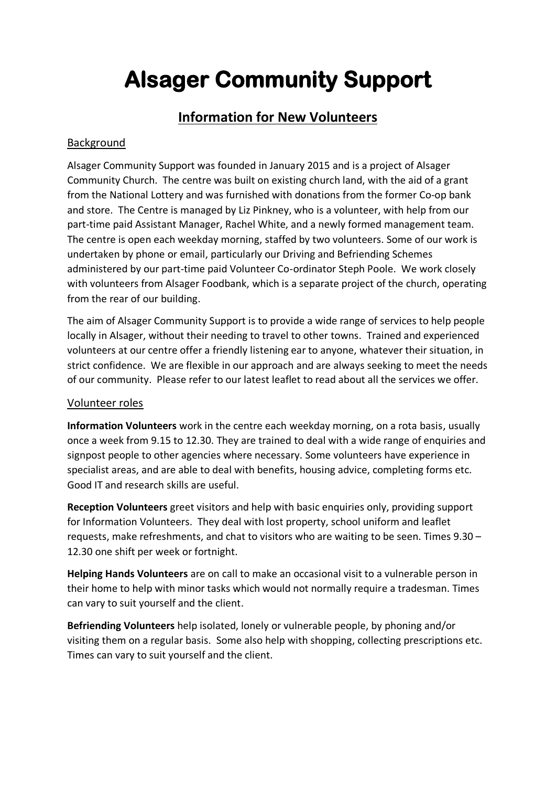# **Alsager Community Support**

# **Information for New Volunteers**

## Background

Alsager Community Support was founded in January 2015 and is a project of Alsager Community Church. The centre was built on existing church land, with the aid of a grant from the National Lottery and was furnished with donations from the former Co-op bank and store. The Centre is managed by Liz Pinkney, who is a volunteer, with help from our part-time paid Assistant Manager, Rachel White, and a newly formed management team. The centre is open each weekday morning, staffed by two volunteers. Some of our work is undertaken by phone or email, particularly our Driving and Befriending Schemes administered by our part-time paid Volunteer Co-ordinator Steph Poole. We work closely with volunteers from Alsager Foodbank, which is a separate project of the church, operating from the rear of our building.

The aim of Alsager Community Support is to provide a wide range of services to help people locally in Alsager, without their needing to travel to other towns. Trained and experienced volunteers at our centre offer a friendly listening ear to anyone, whatever their situation, in strict confidence. We are flexible in our approach and are always seeking to meet the needs of our community. Please refer to our latest leaflet to read about all the services we offer.

#### Volunteer roles

**Information Volunteers** work in the centre each weekday morning, on a rota basis, usually once a week from 9.15 to 12.30. They are trained to deal with a wide range of enquiries and signpost people to other agencies where necessary. Some volunteers have experience in specialist areas, and are able to deal with benefits, housing advice, completing forms etc. Good IT and research skills are useful.

**Reception Volunteers** greet visitors and help with basic enquiries only, providing support for Information Volunteers. They deal with lost property, school uniform and leaflet requests, make refreshments, and chat to visitors who are waiting to be seen. Times 9.30 – 12.30 one shift per week or fortnight.

**Helping Hands Volunteers** are on call to make an occasional visit to a vulnerable person in their home to help with minor tasks which would not normally require a tradesman. Times can vary to suit yourself and the client.

**Befriending Volunteers** help isolated, lonely or vulnerable people, by phoning and/or visiting them on a regular basis. Some also help with shopping, collecting prescriptions etc. Times can vary to suit yourself and the client.